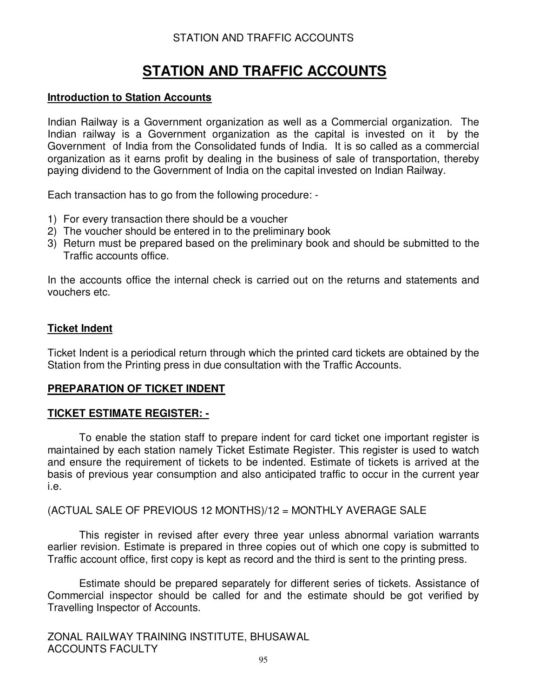# **STATION AND TRAFFIC ACCOUNTS**

### **Introduction to Station Accounts**

Indian Railway is a Government organization as well as a Commercial organization. The Indian railway is a Government organization as the capital is invested on it by the Government of India from the Consolidated funds of India. It is so called as a commercial organization as it earns profit by dealing in the business of sale of transportation, thereby paying dividend to the Government of India on the capital invested on Indian Railway.

Each transaction has to go from the following procedure: -

- 1) For every transaction there should be a voucher
- 2) The voucher should be entered in to the preliminary book
- 3) Return must be prepared based on the preliminary book and should be submitted to the Traffic accounts office.

In the accounts office the internal check is carried out on the returns and statements and vouchers etc.

### **Ticket Indent**

Ticket Indent is a periodical return through which the printed card tickets are obtained by the Station from the Printing press in due consultation with the Traffic Accounts.

### **PREPARATION OF TICKET INDENT**

### **TICKET ESTIMATE REGISTER: -**

To enable the station staff to prepare indent for card ticket one important register is maintained by each station namely Ticket Estimate Register. This register is used to watch and ensure the requirement of tickets to be indented. Estimate of tickets is arrived at the basis of previous year consumption and also anticipated traffic to occur in the current year i.e.

(ACTUAL SALE OF PREVIOUS 12 MONTHS)/12 = MONTHLY AVERAGE SALE

This register in revised after every three year unless abnormal variation warrants earlier revision. Estimate is prepared in three copies out of which one copy is submitted to Traffic account office, first copy is kept as record and the third is sent to the printing press.

Estimate should be prepared separately for different series of tickets. Assistance of Commercial inspector should be called for and the estimate should be got verified by Travelling Inspector of Accounts.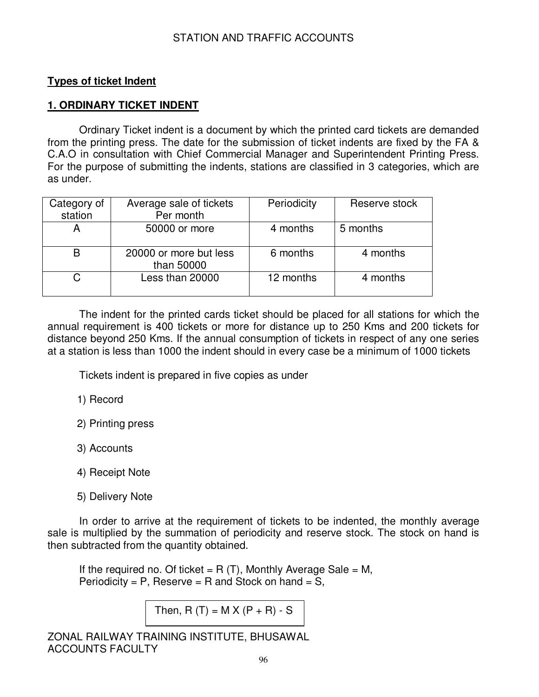### **Types of ticket Indent**

### **1. ORDINARY TICKET INDENT**

Ordinary Ticket indent is a document by which the printed card tickets are demanded from the printing press. The date for the submission of ticket indents are fixed by the FA & C.A.O in consultation with Chief Commercial Manager and Superintendent Printing Press. For the purpose of submitting the indents, stations are classified in 3 categories, which are as under.

| Category of<br>station | Average sale of tickets<br>Per month | Periodicity | Reserve stock |
|------------------------|--------------------------------------|-------------|---------------|
| А                      | 50000 or more                        | 4 months    | 5 months      |
| B                      | 20000 or more but less<br>than 50000 | 6 months    | 4 months      |
|                        | Less than 20000                      | 12 months   | 4 months      |

The indent for the printed cards ticket should be placed for all stations for which the annual requirement is 400 tickets or more for distance up to 250 Kms and 200 tickets for distance beyond 250 Kms. If the annual consumption of tickets in respect of any one series at a station is less than 1000 the indent should in every case be a minimum of 1000 tickets

Tickets indent is prepared in five copies as under

1) Record

2) Printing press

3) Accounts

- 4) Receipt Note
- 5) Delivery Note

 In order to arrive at the requirement of tickets to be indented, the monthly average sale is multiplied by the summation of periodicity and reserve stock. The stock on hand is then subtracted from the quantity obtained.

If the required no. Of ticket =  $R(T)$ , Monthly Average Sale = M, Periodicity = P, Reserve = R and Stock on hand = S,

Then,  $R(T) = M X (P + R) - S$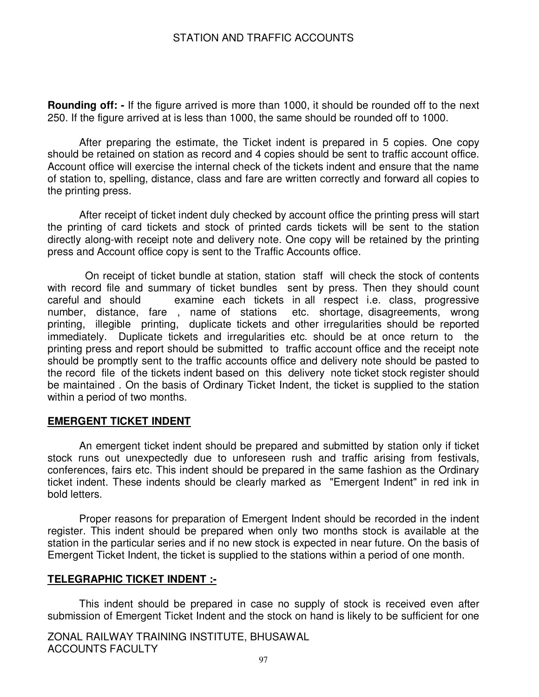**Rounding off: -** If the figure arrived is more than 1000, it should be rounded off to the next 250. If the figure arrived at is less than 1000, the same should be rounded off to 1000.

After preparing the estimate, the Ticket indent is prepared in 5 copies. One copy should be retained on station as record and 4 copies should be sent to traffic account office. Account office will exercise the internal check of the tickets indent and ensure that the name of station to, spelling, distance, class and fare are written correctly and forward all copies to the printing press.

After receipt of ticket indent duly checked by account office the printing press will start the printing of card tickets and stock of printed cards tickets will be sent to the station directly along-with receipt note and delivery note. One copy will be retained by the printing press and Account office copy is sent to the Traffic Accounts office.

 On receipt of ticket bundle at station, station staff will check the stock of contents with record file and summary of ticket bundles sent by press. Then they should count careful and should examine each tickets in all respect i.e. class, progressive number, distance, fare , name of stations etc. shortage, disagreements, wrong printing, illegible printing, duplicate tickets and other irregularities should be reported immediately. Duplicate tickets and irregularities etc. should be at once return to the printing press and report should be submitted to traffic account office and the receipt note should be promptly sent to the traffic accounts office and delivery note should be pasted to the record file of the tickets indent based on this delivery note ticket stock register should be maintained . On the basis of Ordinary Ticket Indent, the ticket is supplied to the station within a period of two months.

#### **EMERGENT TICKET INDENT**

An emergent ticket indent should be prepared and submitted by station only if ticket stock runs out unexpectedly due to unforeseen rush and traffic arising from festivals, conferences, fairs etc. This indent should be prepared in the same fashion as the Ordinary ticket indent. These indents should be clearly marked as "Emergent Indent" in red ink in bold letters.

Proper reasons for preparation of Emergent Indent should be recorded in the indent register. This indent should be prepared when only two months stock is available at the station in the particular series and if no new stock is expected in near future. On the basis of Emergent Ticket Indent, the ticket is supplied to the stations within a period of one month.

#### **TELEGRAPHIC TICKET INDENT :-**

This indent should be prepared in case no supply of stock is received even after submission of Emergent Ticket Indent and the stock on hand is likely to be sufficient for one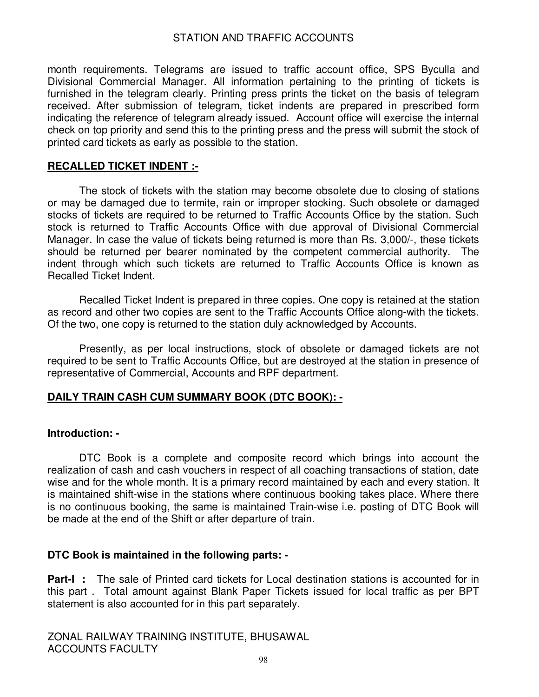month requirements. Telegrams are issued to traffic account office, SPS Byculla and Divisional Commercial Manager. All information pertaining to the printing of tickets is furnished in the telegram clearly. Printing press prints the ticket on the basis of telegram received. After submission of telegram, ticket indents are prepared in prescribed form indicating the reference of telegram already issued. Account office will exercise the internal check on top priority and send this to the printing press and the press will submit the stock of printed card tickets as early as possible to the station.

#### **RECALLED TICKET INDENT :-**

 The stock of tickets with the station may become obsolete due to closing of stations or may be damaged due to termite, rain or improper stocking. Such obsolete or damaged stocks of tickets are required to be returned to Traffic Accounts Office by the station. Such stock is returned to Traffic Accounts Office with due approval of Divisional Commercial Manager. In case the value of tickets being returned is more than Rs. 3,000/-, these tickets should be returned per bearer nominated by the competent commercial authority. The indent through which such tickets are returned to Traffic Accounts Office is known as Recalled Ticket Indent.

 Recalled Ticket Indent is prepared in three copies. One copy is retained at the station as record and other two copies are sent to the Traffic Accounts Office along-with the tickets. Of the two, one copy is returned to the station duly acknowledged by Accounts.

 Presently, as per local instructions, stock of obsolete or damaged tickets are not required to be sent to Traffic Accounts Office, but are destroyed at the station in presence of representative of Commercial, Accounts and RPF department.

#### **DAILY TRAIN CASH CUM SUMMARY BOOK (DTC BOOK): -**

#### **Introduction: -**

 DTC Book is a complete and composite record which brings into account the realization of cash and cash vouchers in respect of all coaching transactions of station, date wise and for the whole month. It is a primary record maintained by each and every station. It is maintained shift-wise in the stations where continuous booking takes place. Where there is no continuous booking, the same is maintained Train-wise i.e. posting of DTC Book will be made at the end of the Shift or after departure of train.

#### **DTC Book is maintained in the following parts: -**

**Part-I :** The sale of Printed card tickets for Local destination stations is accounted for in this part . Total amount against Blank Paper Tickets issued for local traffic as per BPT statement is also accounted for in this part separately.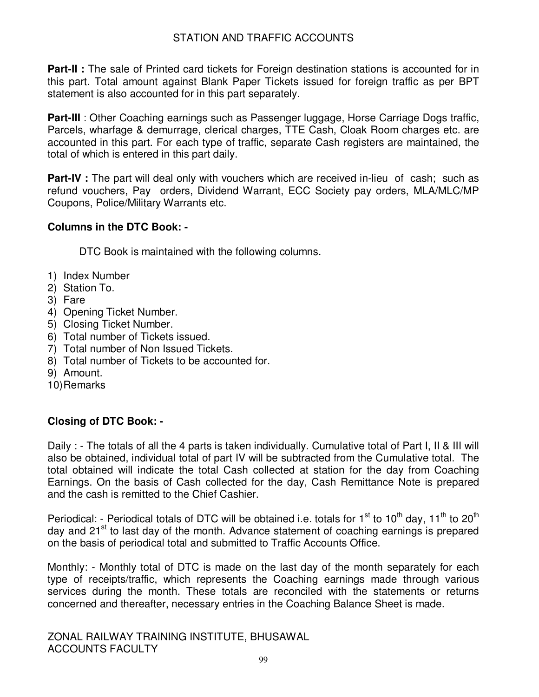**Part-II :** The sale of Printed card tickets for Foreign destination stations is accounted for in this part. Total amount against Blank Paper Tickets issued for foreign traffic as per BPT statement is also accounted for in this part separately.

**Part-III**: Other Coaching earnings such as Passenger luggage, Horse Carriage Dogs traffic, Parcels, wharfage & demurrage, clerical charges, TTE Cash, Cloak Room charges etc. are accounted in this part. For each type of traffic, separate Cash registers are maintained, the total of which is entered in this part daily.

**Part-IV** : The part will deal only with vouchers which are received in-lieu of cash; such as refund vouchers, Pay orders, Dividend Warrant, ECC Society pay orders, MLA/MLC/MP Coupons, Police/Military Warrants etc.

# **Columns in the DTC Book: -**

DTC Book is maintained with the following columns.

- 1) Index Number
- 2) Station To.
- 3) Fare
- 4) Opening Ticket Number.
- 5) Closing Ticket Number.
- 6) Total number of Tickets issued.
- 7) Total number of Non Issued Tickets.
- 8) Total number of Tickets to be accounted for.
- 9) Amount.
- 10) Remarks

# **Closing of DTC Book: -**

Daily : - The totals of all the 4 parts is taken individually. Cumulative total of Part I, II & III will also be obtained, individual total of part IV will be subtracted from the Cumulative total. The total obtained will indicate the total Cash collected at station for the day from Coaching Earnings. On the basis of Cash collected for the day, Cash Remittance Note is prepared and the cash is remitted to the Chief Cashier.

Periodical: - Periodical totals of DTC will be obtained i.e. totals for  $1^{st}$  to  $10^{th}$  day,  $11^{th}$  to  $20^{th}$ day and 21<sup>st</sup> to last day of the month. Advance statement of coaching earnings is prepared on the basis of periodical total and submitted to Traffic Accounts Office.

Monthly: - Monthly total of DTC is made on the last day of the month separately for each type of receipts/traffic, which represents the Coaching earnings made through various services during the month. These totals are reconciled with the statements or returns concerned and thereafter, necessary entries in the Coaching Balance Sheet is made.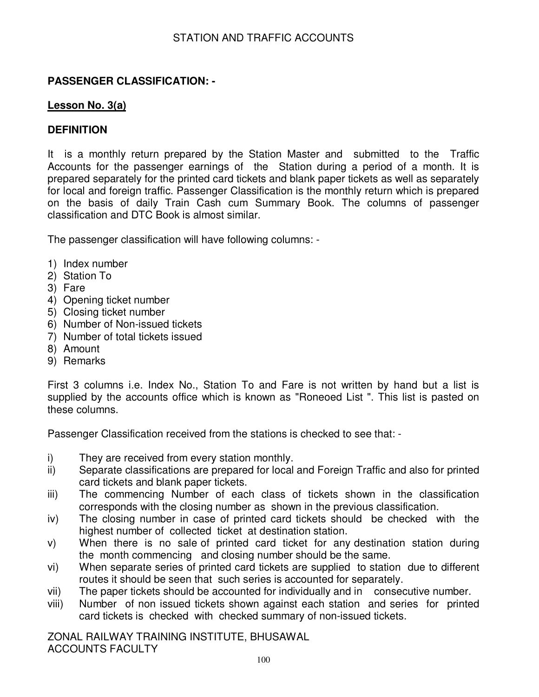# **PASSENGER CLASSIFICATION: -**

### **Lesson No. 3(a)**

### **DEFINITION**

It is a monthly return prepared by the Station Master and submitted to the Traffic Accounts for the passenger earnings of the Station during a period of a month. It is prepared separately for the printed card tickets and blank paper tickets as well as separately for local and foreign traffic. Passenger Classification is the monthly return which is prepared on the basis of daily Train Cash cum Summary Book. The columns of passenger classification and DTC Book is almost similar.

The passenger classification will have following columns: -

- 1) Index number
- 2) Station To
- 3) Fare
- 4) Opening ticket number
- 5) Closing ticket number
- 6) Number of Non-issued tickets
- 7) Number of total tickets issued
- 8) Amount
- 9) Remarks

First 3 columns i.e. Index No., Station To and Fare is not written by hand but a list is supplied by the accounts office which is known as "Roneoed List ". This list is pasted on these columns.

Passenger Classification received from the stations is checked to see that: -

- i) They are received from every station monthly.
- ii) Separate classifications are prepared for local and Foreign Traffic and also for printed card tickets and blank paper tickets.
- iii) The commencing Number of each class of tickets shown in the classification corresponds with the closing number as shown in the previous classification.
- iv) The closing number in case of printed card tickets should be checked with the highest number of collected ticket at destination station.
- v) When there is no sale of printed card ticket for any destination station during the month commencing and closing number should be the same.
- vi) When separate series of printed card tickets are supplied to station due to different routes it should be seen that such series is accounted for separately.
- vii) The paper tickets should be accounted for individually and in consecutive number.
- viii) Number of non issued tickets shown against each station and series for printed card tickets is checked with checked summary of non-issued tickets.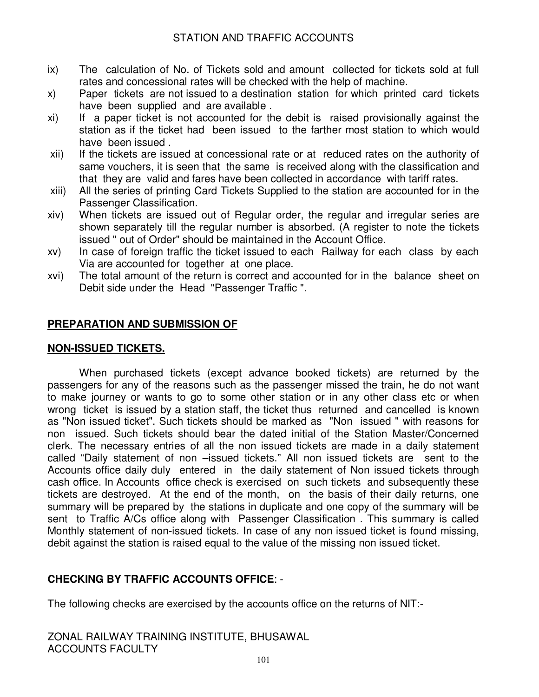- ix) The calculation of No. of Tickets sold and amount collected for tickets sold at full rates and concessional rates will be checked with the help of machine.
- x) Paper tickets are not issued to a destination station for which printed card tickets have been supplied and are available .
- xi) If a paper ticket is not accounted for the debit is raised provisionally against the station as if the ticket had been issued to the farther most station to which would have been issued .
- xii) If the tickets are issued at concessional rate or at reduced rates on the authority of same vouchers, it is seen that the same is received along with the classification and that they are valid and fares have been collected in accordance with tariff rates.
- xiii) All the series of printing Card Tickets Supplied to the station are accounted for in the Passenger Classification.
- xiv) When tickets are issued out of Regular order, the regular and irregular series are shown separately till the regular number is absorbed. (A register to note the tickets issued " out of Order" should be maintained in the Account Office.
- xv) In case of foreign traffic the ticket issued to each Railway for each class by each Via are accounted for together at one place.
- xvi) The total amount of the return is correct and accounted for in the balance sheet on Debit side under the Head "Passenger Traffic ".

### **PREPARATION AND SUBMISSION OF**

#### **NON-ISSUED TICKETS.**

When purchased tickets (except advance booked tickets) are returned by the passengers for any of the reasons such as the passenger missed the train, he do not want to make journey or wants to go to some other station or in any other class etc or when wrong ticket is issued by a station staff, the ticket thus returned and cancelled is known as "Non issued ticket". Such tickets should be marked as "Non issued " with reasons for non issued. Such tickets should bear the dated initial of the Station Master/Concerned clerk. The necessary entries of all the non issued tickets are made in a daily statement called "Daily statement of non –issued tickets." All non issued tickets are sent to the Accounts office daily duly entered in the daily statement of Non issued tickets through cash office. In Accounts office check is exercised on such tickets and subsequently these tickets are destroyed. At the end of the month, on the basis of their daily returns, one summary will be prepared by the stations in duplicate and one copy of the summary will be sent to Traffic A/Cs office along with Passenger Classification . This summary is called Monthly statement of non-issued tickets. In case of any non issued ticket is found missing, debit against the station is raised equal to the value of the missing non issued ticket.

### **CHECKING BY TRAFFIC ACCOUNTS OFFICE**: -

The following checks are exercised by the accounts office on the returns of NIT:-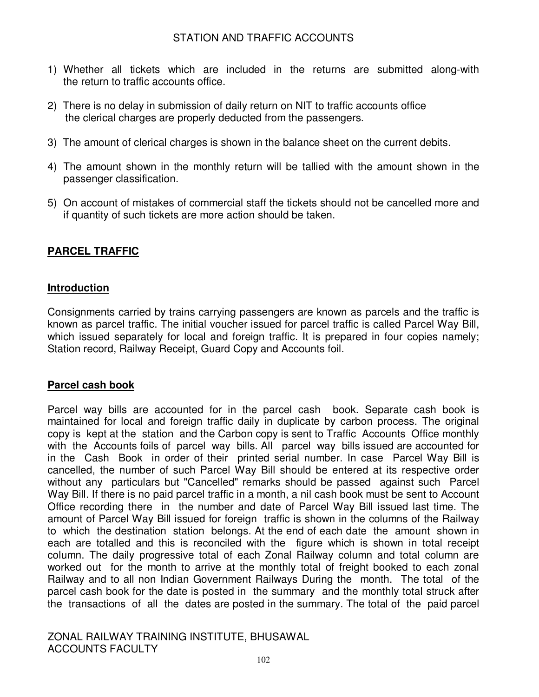- 1) Whether all tickets which are included in the returns are submitted along-with the return to traffic accounts office.
- 2) There is no delay in submission of daily return on NIT to traffic accounts office the clerical charges are properly deducted from the passengers.
- 3) The amount of clerical charges is shown in the balance sheet on the current debits.
- 4) The amount shown in the monthly return will be tallied with the amount shown in the passenger classification.
- 5) On account of mistakes of commercial staff the tickets should not be cancelled more and if quantity of such tickets are more action should be taken.

# **PARCEL TRAFFIC**

# **Introduction**

Consignments carried by trains carrying passengers are known as parcels and the traffic is known as parcel traffic. The initial voucher issued for parcel traffic is called Parcel Way Bill, which issued separately for local and foreign traffic. It is prepared in four copies namely; Station record, Railway Receipt, Guard Copy and Accounts foil.

# **Parcel cash book**

Parcel way bills are accounted for in the parcel cash book. Separate cash book is maintained for local and foreign traffic daily in duplicate by carbon process. The original copy is kept at the station and the Carbon copy is sent to Traffic Accounts Office monthly with the Accounts foils of parcel way bills. All parcel way bills issued are accounted for in the Cash Book in order of their printed serial number. In case Parcel Way Bill is cancelled, the number of such Parcel Way Bill should be entered at its respective order without any particulars but "Cancelled" remarks should be passed against such Parcel Way Bill. If there is no paid parcel traffic in a month, a nil cash book must be sent to Account Office recording there in the number and date of Parcel Way Bill issued last time. The amount of Parcel Way Bill issued for foreign traffic is shown in the columns of the Railway to which the destination station belongs. At the end of each date the amount shown in each are totalled and this is reconciled with the figure which is shown in total receipt column. The daily progressive total of each Zonal Railway column and total column are worked out for the month to arrive at the monthly total of freight booked to each zonal Railway and to all non Indian Government Railways During the month. The total of the parcel cash book for the date is posted in the summary and the monthly total struck after the transactions of all the dates are posted in the summary. The total of the paid parcel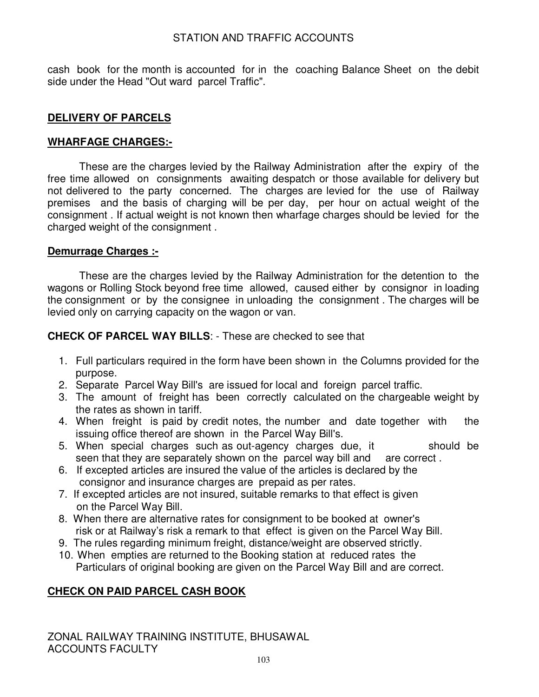cash book for the month is accounted for in the coaching Balance Sheet on the debit side under the Head "Out ward parcel Traffic".

# **DELIVERY OF PARCELS**

### **WHARFAGE CHARGES:-**

These are the charges levied by the Railway Administration after the expiry of the free time allowed on consignments awaiting despatch or those available for delivery but not delivered to the party concerned. The charges are levied for the use of Railway premises and the basis of charging will be per day, per hour on actual weight of the consignment . If actual weight is not known then wharfage charges should be levied for the charged weight of the consignment .

### **Demurrage Charges :-**

These are the charges levied by the Railway Administration for the detention to the wagons or Rolling Stock beyond free time allowed, caused either by consignor in loading the consignment or by the consignee in unloading the consignment . The charges will be levied only on carrying capacity on the wagon or van.

**CHECK OF PARCEL WAY BILLS**: - These are checked to see that

- 1. Full particulars required in the form have been shown in the Columns provided for the purpose.
- 2. Separate Parcel Way Bill's are issued for local and foreign parcel traffic.
- 3. The amount of freight has been correctly calculated on the chargeable weight by the rates as shown in tariff.
- 4. When freight is paid by credit notes, the number and date together with the issuing office thereof are shown in the Parcel Way Bill's.
- 5. When special charges such as out-agency charges due, it should be seen that they are separately shown on the parcel way bill and are correct.
- 6. If excepted articles are insured the value of the articles is declared by the consignor and insurance charges are prepaid as per rates.
- 7. If excepted articles are not insured, suitable remarks to that effect is given on the Parcel Way Bill.
- 8. When there are alternative rates for consignment to be booked at owner's risk or at Railway's risk a remark to that effect is given on the Parcel Way Bill.
- 9. The rules regarding minimum freight, distance/weight are observed strictly.
- 10. When empties are returned to the Booking station at reduced rates the Particulars of original booking are given on the Parcel Way Bill and are correct.

# **CHECK ON PAID PARCEL CASH BOOK**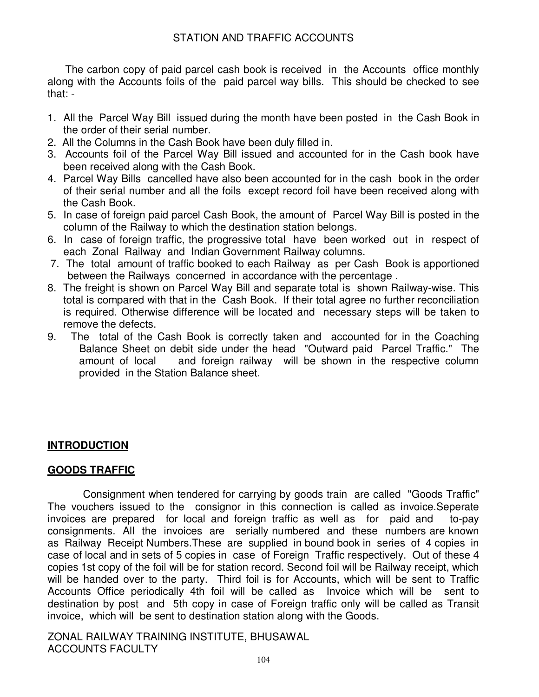The carbon copy of paid parcel cash book is received in the Accounts office monthly along with the Accounts foils of the paid parcel way bills. This should be checked to see that: -

- 1. All the Parcel Way Bill issued during the month have been posted in the Cash Book in the order of their serial number.
- 2. All the Columns in the Cash Book have been duly filled in.
- 3. Accounts foil of the Parcel Way Bill issued and accounted for in the Cash book have been received along with the Cash Book.
- 4. Parcel Way Bills cancelled have also been accounted for in the cash book in the order of their serial number and all the foils except record foil have been received along with the Cash Book.
- 5. In case of foreign paid parcel Cash Book, the amount of Parcel Way Bill is posted in the column of the Railway to which the destination station belongs.
- 6. In case of foreign traffic, the progressive total have been worked out in respect of each Zonal Railway and Indian Government Railway columns.
- 7. The total amount of traffic booked to each Railway as per Cash Book is apportioned between the Railways concerned in accordance with the percentage .
- 8. The freight is shown on Parcel Way Bill and separate total is shown Railway-wise. This total is compared with that in the Cash Book. If their total agree no further reconciliation is required. Otherwise difference will be located and necessary steps will be taken to remove the defects.
- 9. The total of the Cash Book is correctly taken and accounted for in the Coaching Balance Sheet on debit side under the head "Outward paid Parcel Traffic." The amount of local and foreign railway will be shown in the respective column provided in the Station Balance sheet.

# **INTRODUCTION**

# **GOODS TRAFFIC**

 Consignment when tendered for carrying by goods train are called "Goods Traffic" The vouchers issued to the consignor in this connection is called as invoice.Seperate invoices are prepared for local and foreign traffic as well as for paid and to-pay consignments. All the invoices are serially numbered and these numbers are known as Railway Receipt Numbers.These are supplied in bound book in series of 4 copies in case of local and in sets of 5 copies in case of Foreign Traffic respectively. Out of these 4 copies 1st copy of the foil will be for station record. Second foil will be Railway receipt, which will be handed over to the party. Third foil is for Accounts, which will be sent to Traffic Accounts Office periodically 4th foil will be called as Invoice which will be sent to destination by post and 5th copy in case of Foreign traffic only will be called as Transit invoice, which will be sent to destination station along with the Goods.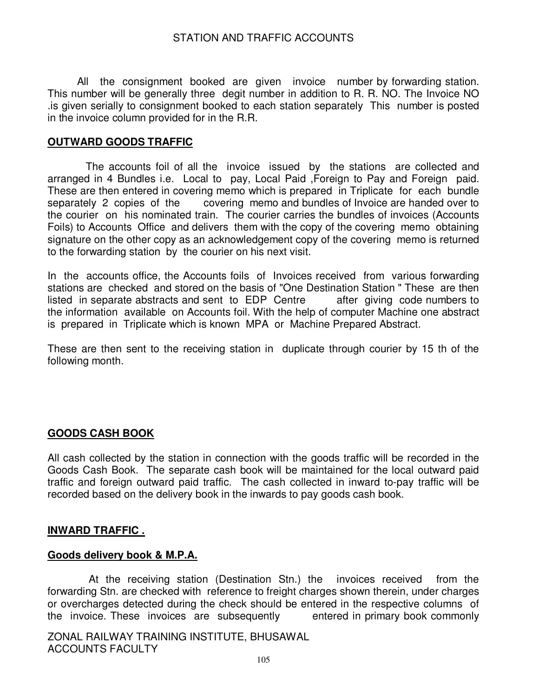All the consignment booked are given invoice number by forwarding station. This number will be generally three degit number in addition to R. R. NO. The Invoice NO .is given serially to consignment booked to each station separately This number is posted in the invoice column provided for in the R.R.

#### **OUTWARD GOODS TRAFFIC**

 The accounts foil of all the invoice issued by the stations are collected and arranged in 4 Bundles i.e. Local to pay, Local Paid ,Foreign to Pay and Foreign paid. These are then entered in covering memo which is prepared in Triplicate for each bundle separately 2 copies of the covering memo and bundles of Invoice are handed over to the courier on his nominated train. The courier carries the bundles of invoices (Accounts Foils) to Accounts Office and delivers them with the copy of the covering memo obtaining signature on the other copy as an acknowledgement copy of the covering memo is returned to the forwarding station by the courier on his next visit.

In the accounts office, the Accounts foils of Invoices received from various forwarding stations are checked and stored on the basis of "One Destination Station " These are then<br>listed in separate abstracts and sent to EDP Centre after giving code numbers to listed in separate abstracts and sent to EDP Centre the information available on Accounts foil. With the help of computer Machine one abstract is prepared in Triplicate which is known MPA or Machine Prepared Abstract.

These are then sent to the receiving station in duplicate through courier by 15 th of the following month.

### **GOODS CASH BOOK**

All cash collected by the station in connection with the goods traffic will be recorded in the Goods Cash Book. The separate cash book will be maintained for the local outward paid traffic and foreign outward paid traffic. The cash collected in inward to-pay traffic will be recorded based on the delivery book in the inwards to pay goods cash book.

#### **INWARD TRAFFIC .**

#### **Goods delivery book & M.P.A.**

 At the receiving station (Destination Stn.) the invoices received from the forwarding Stn. are checked with reference to freight charges shown therein, under charges or overcharges detected during the check should be entered in the respective columns of the invoice. These invoices are subsequently entered in primary book commonly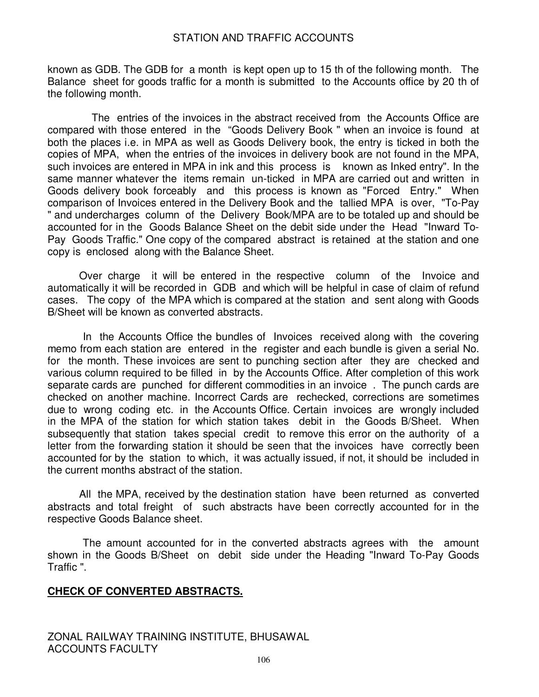known as GDB. The GDB for a month is kept open up to 15 th of the following month. The Balance sheet for goods traffic for a month is submitted to the Accounts office by 20 th of the following month.

 The entries of the invoices in the abstract received from the Accounts Office are compared with those entered in the "Goods Delivery Book " when an invoice is found at both the places i.e. in MPA as well as Goods Delivery book, the entry is ticked in both the copies of MPA, when the entries of the invoices in delivery book are not found in the MPA, such invoices are entered in MPA in ink and this process is known as Inked entry". In the same manner whatever the items remain un-ticked in MPA are carried out and written in Goods delivery book forceably and this process is known as "Forced Entry." When comparison of Invoices entered in the Delivery Book and the tallied MPA is over, "To-Pay " and undercharges column of the Delivery Book/MPA are to be totaled up and should be accounted for in the Goods Balance Sheet on the debit side under the Head "Inward To-Pay Goods Traffic." One copy of the compared abstract is retained at the station and one copy is enclosed along with the Balance Sheet.

Over charge it will be entered in the respective column of the Invoice and automatically it will be recorded in GDB and which will be helpful in case of claim of refund cases. The copy of the MPA which is compared at the station and sent along with Goods B/Sheet will be known as converted abstracts.

 In the Accounts Office the bundles of Invoices received along with the covering memo from each station are entered in the register and each bundle is given a serial No. for the month. These invoices are sent to punching section after they are checked and various column required to be filled in by the Accounts Office. After completion of this work separate cards are punched for different commodities in an invoice . The punch cards are checked on another machine. Incorrect Cards are rechecked, corrections are sometimes due to wrong coding etc. in the Accounts Office. Certain invoices are wrongly included in the MPA of the station for which station takes debit in the Goods B/Sheet. When subsequently that station takes special credit to remove this error on the authority of a letter from the forwarding station it should be seen that the invoices have correctly been accounted for by the station to which, it was actually issued, if not, it should be included in the current months abstract of the station.

All the MPA, received by the destination station have been returned as converted abstracts and total freight of such abstracts have been correctly accounted for in the respective Goods Balance sheet.

 The amount accounted for in the converted abstracts agrees with the amount shown in the Goods B/Sheet on debit side under the Heading "Inward To-Pay Goods Traffic ".

### **CHECK OF CONVERTED ABSTRACTS.**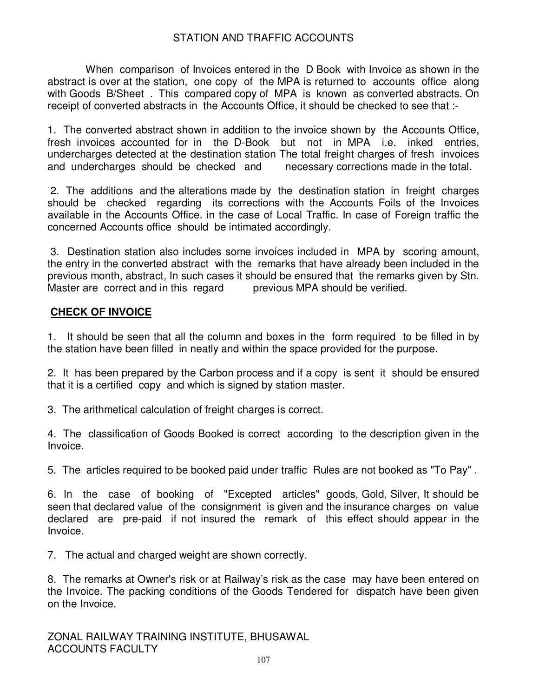When comparison of Invoices entered in the D Book with Invoice as shown in the abstract is over at the station, one copy of the MPA is returned to accounts office along with Goods B/Sheet . This compared copy of MPA is known as converted abstracts. On receipt of converted abstracts in the Accounts Office, it should be checked to see that :-

1. The converted abstract shown in addition to the invoice shown by the Accounts Office, fresh invoices accounted for in the D-Book but not in MPA i.e. inked entries, undercharges detected at the destination station The total freight charges of fresh invoices and undercharges should be checked and necessary corrections made in the total.

 2. The additions and the alterations made by the destination station in freight charges should be checked regarding its corrections with the Accounts Foils of the Invoices available in the Accounts Office. in the case of Local Traffic. In case of Foreign traffic the concerned Accounts office should be intimated accordingly.

 3. Destination station also includes some invoices included in MPA by scoring amount, the entry in the converted abstract with the remarks that have already been included in the previous month, abstract, In such cases it should be ensured that the remarks given by Stn. Master are correct and in this regard previous MPA should be verified.

# **CHECK OF INVOICE**

1. It should be seen that all the column and boxes in the form required to be filled in by the station have been filled in neatly and within the space provided for the purpose.

2. It has been prepared by the Carbon process and if a copy is sent it should be ensured that it is a certified copy and which is signed by station master.

3. The arithmetical calculation of freight charges is correct.

4. The classification of Goods Booked is correct according to the description given in the Invoice.

5. The articles required to be booked paid under traffic Rules are not booked as "To Pay" .

6. In the case of booking of "Excepted articles" goods, Gold, Silver, It should be seen that declared value of the consignment is given and the insurance charges on value declared are pre-paid if not insured the remark of this effect should appear in the Invoice.

7. The actual and charged weight are shown correctly.

8. The remarks at Owner's risk or at Railway's risk as the case may have been entered on the Invoice. The packing conditions of the Goods Tendered for dispatch have been given on the Invoice.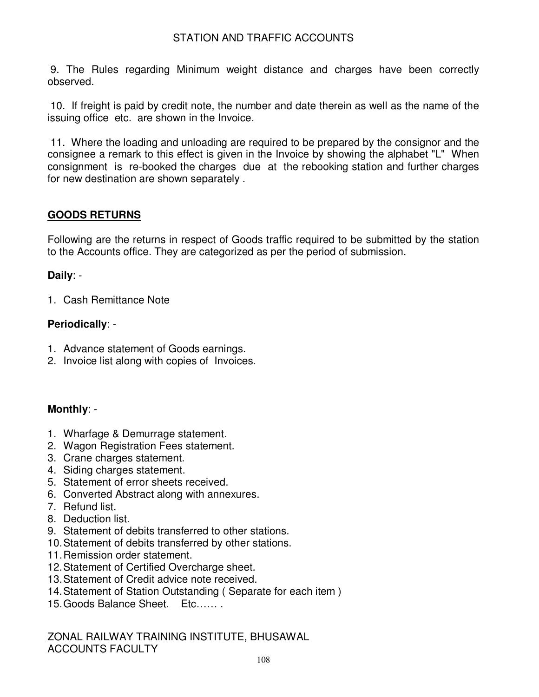9. The Rules regarding Minimum weight distance and charges have been correctly observed.

 10. If freight is paid by credit note, the number and date therein as well as the name of the issuing office etc. are shown in the Invoice.

 11. Where the loading and unloading are required to be prepared by the consignor and the consignee a remark to this effect is given in the Invoice by showing the alphabet "L" When consignment is re-booked the charges due at the rebooking station and further charges for new destination are shown separately .

# **GOODS RETURNS**

Following are the returns in respect of Goods traffic required to be submitted by the station to the Accounts office. They are categorized as per the period of submission.

# **Daily**: -

1. Cash Remittance Note

# **Periodically**: -

- 1. Advance statement of Goods earnings.
- 2. Invoice list along with copies of Invoices.

# **Monthly**: -

- 1. Wharfage & Demurrage statement.
- 2. Wagon Registration Fees statement.
- 3. Crane charges statement.
- 4. Siding charges statement.
- 5. Statement of error sheets received.
- 6. Converted Abstract along with annexures.
- 7. Refund list.
- 8. Deduction list.
- 9. Statement of debits transferred to other stations.
- 10. Statement of debits transferred by other stations.
- 11. Remission order statement.
- 12. Statement of Certified Overcharge sheet.
- 13. Statement of Credit advice note received.
- 14. Statement of Station Outstanding ( Separate for each item )
- 15. Goods Balance Sheet. Etc…… .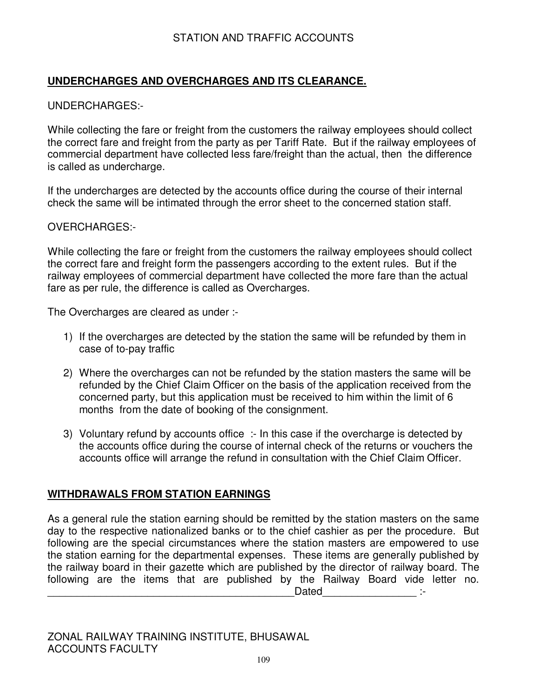# **UNDERCHARGES AND OVERCHARGES AND ITS CLEARANCE.**

### UNDERCHARGES:-

While collecting the fare or freight from the customers the railway employees should collect the correct fare and freight from the party as per Tariff Rate. But if the railway employees of commercial department have collected less fare/freight than the actual, then the difference is called as undercharge.

If the undercharges are detected by the accounts office during the course of their internal check the same will be intimated through the error sheet to the concerned station staff.

### OVERCHARGES:-

While collecting the fare or freight from the customers the railway employees should collect the correct fare and freight form the passengers according to the extent rules. But if the railway employees of commercial department have collected the more fare than the actual fare as per rule, the difference is called as Overcharges.

The Overcharges are cleared as under :-

- 1) If the overcharges are detected by the station the same will be refunded by them in case of to-pay traffic
- 2) Where the overcharges can not be refunded by the station masters the same will be refunded by the Chief Claim Officer on the basis of the application received from the concerned party, but this application must be received to him within the limit of 6 months from the date of booking of the consignment.
- 3) Voluntary refund by accounts office :- In this case if the overcharge is detected by the accounts office during the course of internal check of the returns or vouchers the accounts office will arrange the refund in consultation with the Chief Claim Officer.

# **WITHDRAWALS FROM STATION EARNINGS**

As a general rule the station earning should be remitted by the station masters on the same day to the respective nationalized banks or to the chief cashier as per the procedure. But following are the special circumstances where the station masters are empowered to use the station earning for the departmental expenses. These items are generally published by the railway board in their gazette which are published by the director of railway board. The following are the items that are published by the Railway Board vide letter no. \_\_\_\_\_\_\_\_\_\_\_\_\_\_\_\_\_\_\_\_\_\_\_\_\_\_\_\_\_\_\_\_\_\_\_\_\_\_\_\_\_\_Dated\_\_\_\_\_\_\_\_\_\_\_\_\_\_\_\_ :-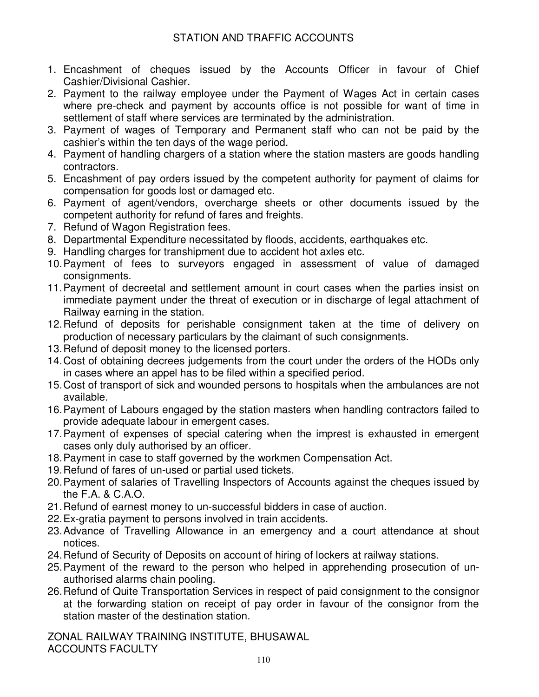- 1. Encashment of cheques issued by the Accounts Officer in favour of Chief Cashier/Divisional Cashier.
- 2. Payment to the railway employee under the Payment of Wages Act in certain cases where pre-check and payment by accounts office is not possible for want of time in settlement of staff where services are terminated by the administration.
- 3. Payment of wages of Temporary and Permanent staff who can not be paid by the cashier's within the ten days of the wage period.
- 4. Payment of handling chargers of a station where the station masters are goods handling contractors.
- 5. Encashment of pay orders issued by the competent authority for payment of claims for compensation for goods lost or damaged etc.
- 6. Payment of agent/vendors, overcharge sheets or other documents issued by the competent authority for refund of fares and freights.
- 7. Refund of Wagon Registration fees.
- 8. Departmental Expenditure necessitated by floods, accidents, earthquakes etc.
- 9. Handling charges for transhipment due to accident hot axles etc.
- 10. Payment of fees to surveyors engaged in assessment of value of damaged consignments.
- 11. Payment of decreetal and settlement amount in court cases when the parties insist on immediate payment under the threat of execution or in discharge of legal attachment of Railway earning in the station.
- 12. Refund of deposits for perishable consignment taken at the time of delivery on production of necessary particulars by the claimant of such consignments.
- 13. Refund of deposit money to the licensed porters.
- 14. Cost of obtaining decrees judgements from the court under the orders of the HODs only in cases where an appel has to be filed within a specified period.
- 15. Cost of transport of sick and wounded persons to hospitals when the ambulances are not available.
- 16. Payment of Labours engaged by the station masters when handling contractors failed to provide adequate labour in emergent cases.
- 17. Payment of expenses of special catering when the imprest is exhausted in emergent cases only duly authorised by an officer.
- 18. Payment in case to staff governed by the workmen Compensation Act.
- 19. Refund of fares of un-used or partial used tickets.
- 20. Payment of salaries of Travelling Inspectors of Accounts against the cheques issued by the F.A. & C.A.O.
- 21. Refund of earnest money to un-successful bidders in case of auction.
- 22. Ex-gratia payment to persons involved in train accidents.
- 23. Advance of Travelling Allowance in an emergency and a court attendance at shout notices.
- 24. Refund of Security of Deposits on account of hiring of lockers at railway stations.
- 25. Payment of the reward to the person who helped in apprehending prosecution of unauthorised alarms chain pooling.
- 26. Refund of Quite Transportation Services in respect of paid consignment to the consignor at the forwarding station on receipt of pay order in favour of the consignor from the station master of the destination station.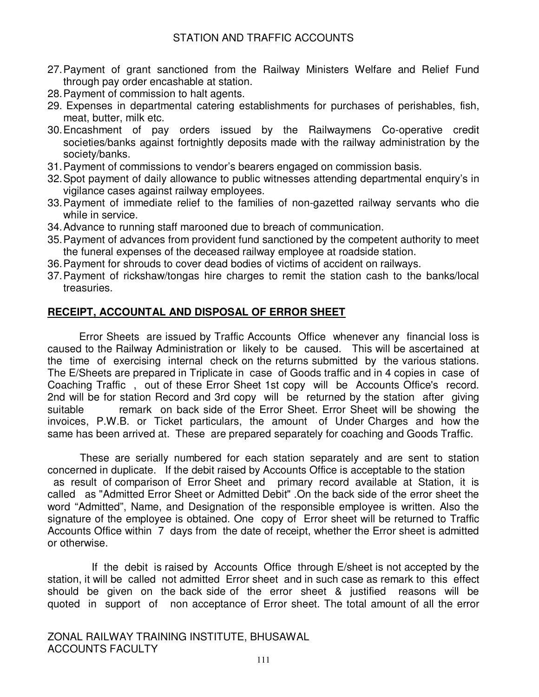- 27. Payment of grant sanctioned from the Railway Ministers Welfare and Relief Fund through pay order encashable at station.
- 28. Payment of commission to halt agents.
- 29. Expenses in departmental catering establishments for purchases of perishables, fish, meat, butter, milk etc.
- 30. Encashment of pay orders issued by the Railwaymens Co-operative credit societies/banks against fortnightly deposits made with the railway administration by the society/banks.
- 31. Payment of commissions to vendor's bearers engaged on commission basis.
- 32. Spot payment of daily allowance to public witnesses attending departmental enquiry's in vigilance cases against railway employees.
- 33. Payment of immediate relief to the families of non-gazetted railway servants who die while in service.
- 34. Advance to running staff marooned due to breach of communication.
- 35. Payment of advances from provident fund sanctioned by the competent authority to meet the funeral expenses of the deceased railway employee at roadside station.
- 36. Payment for shrouds to cover dead bodies of victims of accident on railways.
- 37. Payment of rickshaw/tongas hire charges to remit the station cash to the banks/local treasuries.

### **RECEIPT, ACCOUNTAL AND DISPOSAL OF ERROR SHEET**

Error Sheets are issued by Traffic Accounts Office whenever any financial loss is caused to the Railway Administration or likely to be caused. This will be ascertained at the time of exercising internal check on the returns submitted by the various stations. The E/Sheets are prepared in Triplicate in case of Goods traffic and in 4 copies in case of Coaching Traffic , out of these Error Sheet 1st copy will be Accounts Office's record. 2nd will be for station Record and 3rd copy will be returned by the station after giving suitable **remark** on back side of the Error Sheet. Error Sheet will be showing the invoices, P.W.B. or Ticket particulars, the amount of Under Charges and how the same has been arrived at. These are prepared separately for coaching and Goods Traffic.

 These are serially numbered for each station separately and are sent to station concerned in duplicate. If the debit raised by Accounts Office is acceptable to the station as result of comparison of Error Sheet and primary record available at Station, it is called as "Admitted Error Sheet or Admitted Debit" .On the back side of the error sheet the word "Admitted", Name, and Designation of the responsible employee is written. Also the signature of the employee is obtained. One copy of Error sheet will be returned to Traffic Accounts Office within 7 days from the date of receipt, whether the Error sheet is admitted or otherwise.

 If the debit is raised by Accounts Office through E/sheet is not accepted by the station, it will be called not admitted Error sheet and in such case as remark to this effect should be given on the back side of the error sheet & justified reasons will be quoted in support of non acceptance of Error sheet. The total amount of all the error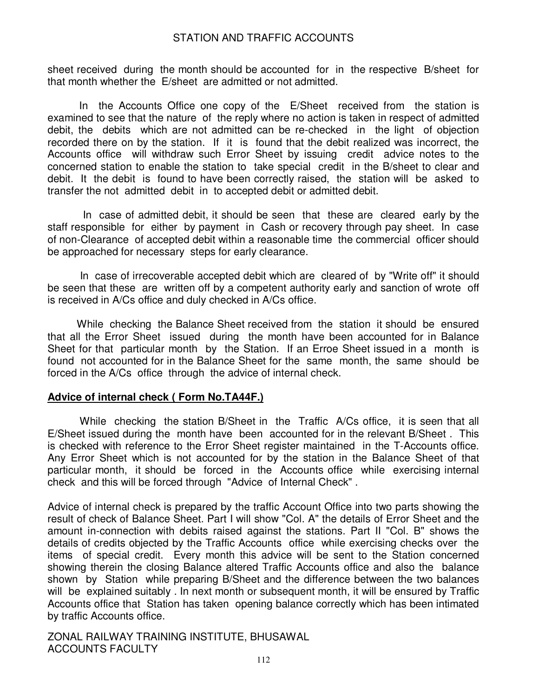sheet received during the month should be accounted for in the respective B/sheet for that month whether the E/sheet are admitted or not admitted.

In the Accounts Office one copy of the E/Sheet received from the station is examined to see that the nature of the reply where no action is taken in respect of admitted debit, the debits which are not admitted can be re-checked in the light of objection recorded there on by the station. If it is found that the debit realized was incorrect, the Accounts office will withdraw such Error Sheet by issuing credit advice notes to the concerned station to enable the station to take special credit in the B/sheet to clear and debit. It the debit is found to have been correctly raised, the station will be asked to transfer the not admitted debit in to accepted debit or admitted debit.

 In case of admitted debit, it should be seen that these are cleared early by the staff responsible for either by payment in Cash or recovery through pay sheet. In case of non-Clearance of accepted debit within a reasonable time the commercial officer should be approached for necessary steps for early clearance.

 In case of irrecoverable accepted debit which are cleared of by "Write off" it should be seen that these are written off by a competent authority early and sanction of wrote off is received in A/Cs office and duly checked in A/Cs office.

 While checking the Balance Sheet received from the station it should be ensured that all the Error Sheet issued during the month have been accounted for in Balance Sheet for that particular month by the Station. If an Erroe Sheet issued in a month is found not accounted for in the Balance Sheet for the same month, the same should be forced in the A/Cs office through the advice of internal check.

#### **Advice of internal check ( Form No.TA44F.)**

 While checking the station B/Sheet in the Traffic A/Cs office, it is seen that all E/Sheet issued during the month have been accounted for in the relevant B/Sheet . This is checked with reference to the Error Sheet register maintained in the T-Accounts office. Any Error Sheet which is not accounted for by the station in the Balance Sheet of that particular month, it should be forced in the Accounts office while exercising internal check and this will be forced through "Advice of Internal Check" .

Advice of internal check is prepared by the traffic Account Office into two parts showing the result of check of Balance Sheet. Part I will show "Col. A" the details of Error Sheet and the amount in-connection with debits raised against the stations. Part II "Col. B" shows the details of credits objected by the Traffic Accounts office while exercising checks over the items of special credit. Every month this advice will be sent to the Station concerned showing therein the closing Balance altered Traffic Accounts office and also the balance shown by Station while preparing B/Sheet and the difference between the two balances will be explained suitably . In next month or subsequent month, it will be ensured by Traffic Accounts office that Station has taken opening balance correctly which has been intimated by traffic Accounts office.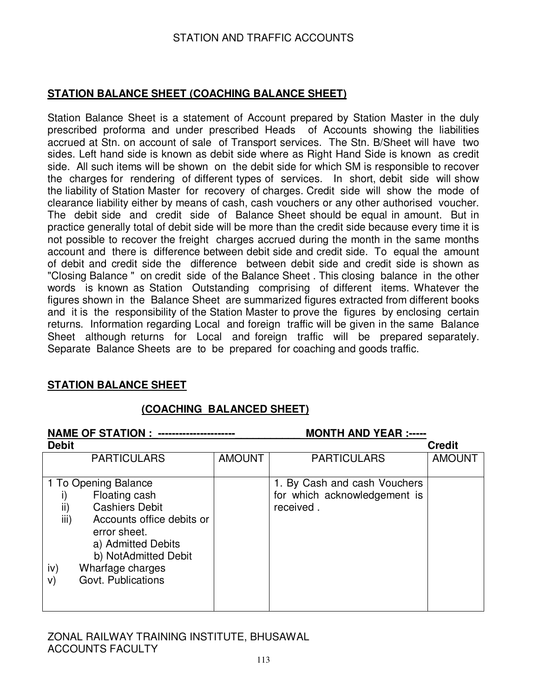# **STATION BALANCE SHEET (COACHING BALANCE SHEET)**

Station Balance Sheet is a statement of Account prepared by Station Master in the duly prescribed proforma and under prescribed Heads of Accounts showing the liabilities accrued at Stn. on account of sale of Transport services. The Stn. B/Sheet will have two sides. Left hand side is known as debit side where as Right Hand Side is known as credit side. All such items will be shown on the debit side for which SM is responsible to recover the charges for rendering of different types of services. In short, debit side will show the liability of Station Master for recovery of charges. Credit side will show the mode of clearance liability either by means of cash, cash vouchers or any other authorised voucher. The debit side and credit side of Balance Sheet should be equal in amount. But in practice generally total of debit side will be more than the credit side because every time it is not possible to recover the freight charges accrued during the month in the same months account and there is difference between debit side and credit side. To equal the amount of debit and credit side the difference between debit side and credit side is shown as "Closing Balance " on credit side of the Balance Sheet . This closing balance in the other words is known as Station Outstanding comprising of different items. Whatever the figures shown in the Balance Sheet are summarized figures extracted from different books and it is the responsibility of the Station Master to prove the figures by enclosing certain returns. Information regarding Local and foreign traffic will be given in the same Balance Sheet although returns for Local and foreign traffic will be prepared separately. Separate Balance Sheets are to be prepared for coaching and goods traffic.

### **STATION BALANCE SHEET**

### **(COACHING BALANCED SHEET)**

| <b>NAME OF STATION :</b>                                                                                                                                                                                                        |               | <b>MONTH AND YEAR :-----</b>                                              |               |
|---------------------------------------------------------------------------------------------------------------------------------------------------------------------------------------------------------------------------------|---------------|---------------------------------------------------------------------------|---------------|
| <b>Debit</b>                                                                                                                                                                                                                    |               |                                                                           | <b>Credit</b> |
| <b>PARTICULARS</b>                                                                                                                                                                                                              | <b>AMOUNT</b> | <b>PARTICULARS</b>                                                        | <b>AMOUNT</b> |
| 1 To Opening Balance<br>Floating cash<br>ii)<br><b>Cashiers Debit</b><br>iii)<br>Accounts office debits or<br>error sheet.<br>a) Admitted Debits<br>b) NotAdmitted Debit<br>iv)<br>Wharfage charges<br>Govt. Publications<br>V) |               | 1. By Cash and cash Vouchers<br>for which acknowledgement is<br>received. |               |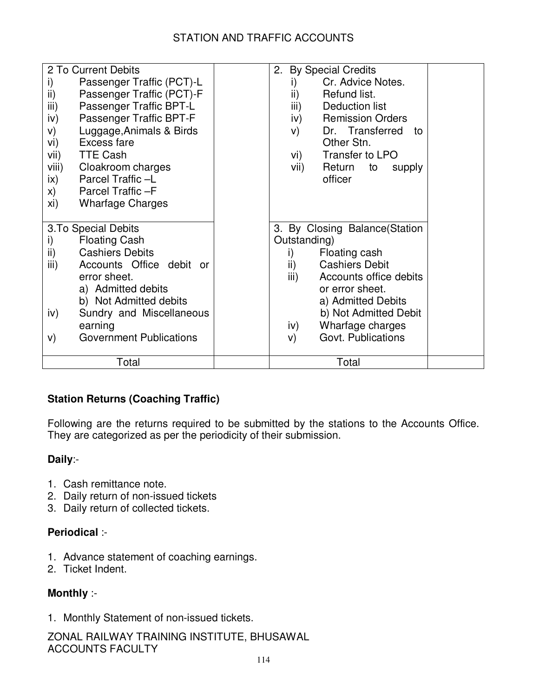| 2 To Current Debits                       | 2. By Special Credits                     |
|-------------------------------------------|-------------------------------------------|
| i)<br>Passenger Traffic (PCT)-L           | Cr. Advice Notes.<br>i)                   |
| ii)<br>Passenger Traffic (PCT)-F          | ii)<br>Refund list.                       |
| iii)<br>Passenger Traffic BPT-L           | iii)<br>Deduction list                    |
| Passenger Traffic BPT-F<br>iv)            | <b>Remission Orders</b><br>$\mathsf{iv})$ |
| Luggage, Animals & Birds<br>V)            | Dr. Transferred to<br>V)                  |
| Excess fare<br>vi)                        | Other Stn.                                |
| <b>TTE Cash</b><br>vii)                   | Transfer to LPO<br>vi)                    |
| viii)<br>Cloakroom charges                | Return to<br>vii)<br>supply               |
| Parcel Traffic-L<br>$\mathsf{ix}$         | officer                                   |
| Parcel Traffic -F<br>$\mathsf{x})$        |                                           |
| xi)<br><b>Wharfage Charges</b>            |                                           |
|                                           |                                           |
| 3. To Special Debits                      | 3. By Closing Balance(Station             |
| <b>Floating Cash</b><br>i)                | Outstanding)                              |
| $\mathsf{ii}$ )<br><b>Cashiers Debits</b> | Floating cash<br>i)                       |
| iii)<br>Accounts Office debit or          | $\mathsf{ii}$<br><b>Cashiers Debit</b>    |
| error sheet.                              | iii)<br>Accounts office debits            |
| a) Admitted debits                        | or error sheet.                           |
| b) Not Admitted debits                    | a) Admitted Debits                        |
| Sundry and Miscellaneous<br>iv)           | b) Not Admitted Debit                     |
| earning                                   | Wharfage charges<br>iv)                   |
| <b>Government Publications</b><br>V)      | Govt. Publications<br>V)                  |
|                                           |                                           |
| Total                                     | Total                                     |

# **Station Returns (Coaching Traffic)**

Following are the returns required to be submitted by the stations to the Accounts Office. They are categorized as per the periodicity of their submission.

# **Daily**:-

- 1. Cash remittance note.
- 2. Daily return of non-issued tickets
- 3. Daily return of collected tickets.

# **Periodical** :-

- 1. Advance statement of coaching earnings.
- 2. Ticket Indent.

# **Monthly** :-

1. Monthly Statement of non-issued tickets.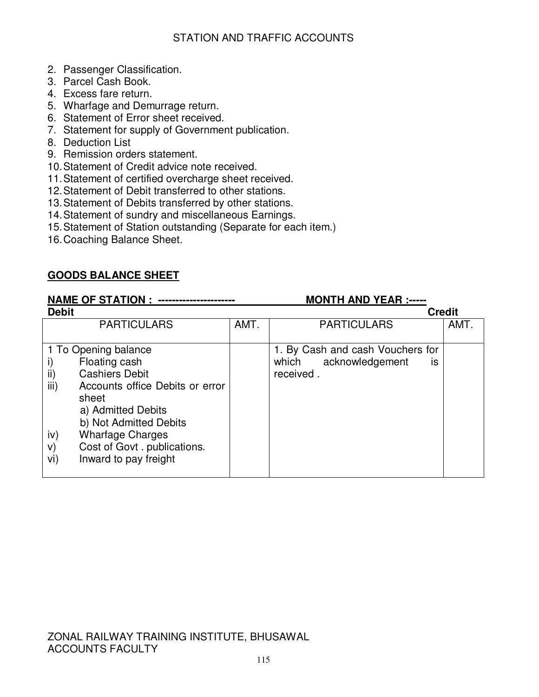- 2. Passenger Classification.
- 3. Parcel Cash Book.
- 4. Excess fare return.
- 5. Wharfage and Demurrage return.
- 6. Statement of Error sheet received.
- 7. Statement for supply of Government publication.
- 8. Deduction List
- 9. Remission orders statement.
- 10. Statement of Credit advice note received.
- 11. Statement of certified overcharge sheet received.
- 12. Statement of Debit transferred to other stations.
- 13. Statement of Debits transferred by other stations.
- 14. Statement of sundry and miscellaneous Earnings.
- 15. Statement of Station outstanding (Separate for each item.)
- 16. Coaching Balance Sheet.

# **GOODS BALANCE SHEET**

#### **NAME OF STATION :\_----------------------\_\_\_\_\_\_\_\_\_\_\_ MONTH AND YEAR :----- Debit Credit**  PARTICULARS AMT. AMT. PARTICULARS AMT. 1 To Opening balance i) Floating cash ii) Cashiers Debit iii) Accounts office Debits or error sheet a) Admitted Debits b) Not Admitted Debits iv) Wharfage Charges v) Cost of Govt . publications. vi) Inward to pay freight 1. By Cash and cash Vouchers for which acknowledgement is received .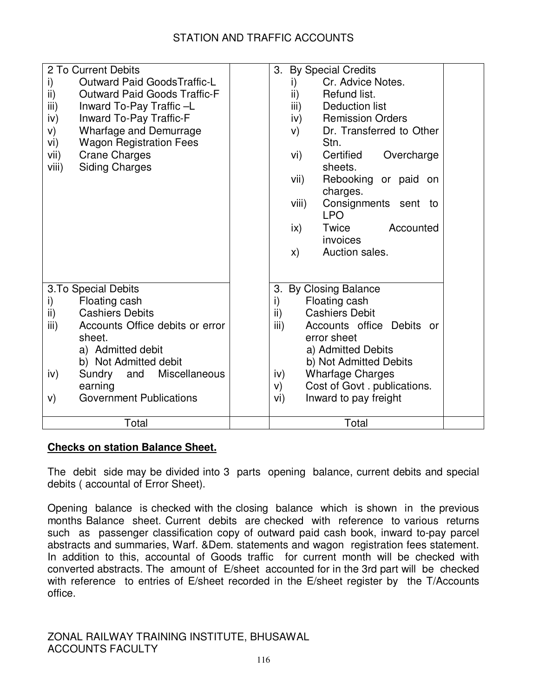| 2 To Current Debits<br><b>Outward Paid GoodsTraffic-L</b><br>i)<br>ii)<br><b>Outward Paid Goods Traffic-F</b><br>iii)<br>Inward To-Pay Traffic-L<br>iv)<br>Inward To-Pay Traffic-F<br><b>Wharfage and Demurrage</b><br>V)<br>vi)<br><b>Wagon Registration Fees</b><br><b>Crane Charges</b><br>vii)<br><b>Siding Charges</b><br>viii) | <b>By Special Credits</b><br>3.<br>Cr. Advice Notes.<br>i)<br>ii)<br>Refund list.<br>iii)<br>Deduction list<br><b>Remission Orders</b><br>iv)<br>Dr. Transferred to Other<br>V)<br>Stn.<br>Certified<br>Overcharge<br>vi)<br>sheets.<br>vii)<br>Rebooking or paid on |
|--------------------------------------------------------------------------------------------------------------------------------------------------------------------------------------------------------------------------------------------------------------------------------------------------------------------------------------|----------------------------------------------------------------------------------------------------------------------------------------------------------------------------------------------------------------------------------------------------------------------|
|                                                                                                                                                                                                                                                                                                                                      | charges.<br>Consignments sent to<br>viii)<br><b>LPO</b><br>Twice<br>Accounted<br>$\mathsf{ix}$<br>invoices<br>Auction sales.<br>$\mathsf{x}$                                                                                                                         |
| 3. To Special Debits                                                                                                                                                                                                                                                                                                                 | 3. By Closing Balance                                                                                                                                                                                                                                                |
| Floating cash<br>i)                                                                                                                                                                                                                                                                                                                  | i)<br>Floating cash                                                                                                                                                                                                                                                  |
| ii)<br><b>Cashiers Debits</b>                                                                                                                                                                                                                                                                                                        | <b>Cashiers Debit</b><br>ii)                                                                                                                                                                                                                                         |
| Accounts Office debits or error<br>iii)<br>sheet.                                                                                                                                                                                                                                                                                    | Accounts office Debits<br>iii)<br>or<br>error sheet                                                                                                                                                                                                                  |
| a) Admitted debit                                                                                                                                                                                                                                                                                                                    | a) Admitted Debits                                                                                                                                                                                                                                                   |
| b) Not Admitted debit                                                                                                                                                                                                                                                                                                                | b) Not Admitted Debits                                                                                                                                                                                                                                               |
| Miscellaneous<br>Sundry<br>and<br>iv)                                                                                                                                                                                                                                                                                                | <b>Wharfage Charges</b><br>iv)                                                                                                                                                                                                                                       |
| earning                                                                                                                                                                                                                                                                                                                              | Cost of Govt. publications.<br>V)                                                                                                                                                                                                                                    |
| <b>Government Publications</b><br>V)                                                                                                                                                                                                                                                                                                 | Inward to pay freight<br>vi)                                                                                                                                                                                                                                         |
| Total                                                                                                                                                                                                                                                                                                                                | Total                                                                                                                                                                                                                                                                |

# **Checks on station Balance Sheet.**

The debit side may be divided into 3 parts opening balance, current debits and special debits ( accountal of Error Sheet).

Opening balance is checked with the closing balance which is shown in the previous months Balance sheet. Current debits are checked with reference to various returns such as passenger classification copy of outward paid cash book, inward to-pay parcel abstracts and summaries, Warf. &Dem. statements and wagon registration fees statement. In addition to this, accountal of Goods traffic for current month will be checked with converted abstracts. The amount of E/sheet accounted for in the 3rd part will be checked with reference to entries of E/sheet recorded in the E/sheet register by the T/Accounts office.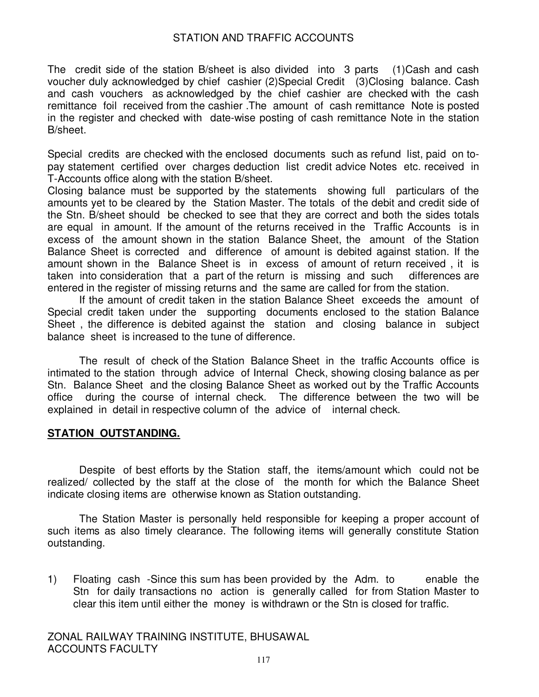The credit side of the station B/sheet is also divided into 3 parts (1)Cash and cash voucher duly acknowledged by chief cashier (2)Special Credit (3)Closing balance. Cash and cash vouchers as acknowledged by the chief cashier are checked with the cash remittance foil received from the cashier .The amount of cash remittance Note is posted in the register and checked with date-wise posting of cash remittance Note in the station B/sheet.

Special credits are checked with the enclosed documents such as refund list, paid on topay statement certified over charges deduction list credit advice Notes etc. received in T-Accounts office along with the station B/sheet.

Closing balance must be supported by the statements showing full particulars of the amounts yet to be cleared by the Station Master. The totals of the debit and credit side of the Stn. B/sheet should be checked to see that they are correct and both the sides totals are equal in amount. If the amount of the returns received in the Traffic Accounts is in excess of the amount shown in the station Balance Sheet, the amount of the Station Balance Sheet is corrected and difference of amount is debited against station. If the amount shown in the Balance Sheet is in excess of amount of return received , it is taken into consideration that a part of the return is missing and such differences are entered in the register of missing returns and the same are called for from the station.

If the amount of credit taken in the station Balance Sheet exceeds the amount of Special credit taken under the supporting documents enclosed to the station Balance Sheet , the difference is debited against the station and closing balance in subject balance sheet is increased to the tune of difference.

The result of check of the Station Balance Sheet in the traffic Accounts office is intimated to the station through advice of Internal Check, showing closing balance as per Stn. Balance Sheet and the closing Balance Sheet as worked out by the Traffic Accounts office during the course of internal check. The difference between the two will be explained in detail in respective column of the advice of internal check.

# **STATION OUTSTANDING.**

Despite of best efforts by the Station staff, the items/amount which could not be realized/ collected by the staff at the close of the month for which the Balance Sheet indicate closing items are otherwise known as Station outstanding.

The Station Master is personally held responsible for keeping a proper account of such items as also timely clearance. The following items will generally constitute Station outstanding.

1) Floating cash -Since this sum has been provided by the Adm. to enable the Stn for daily transactions no action is generally called for from Station Master to clear this item until either the money is withdrawn or the Stn is closed for traffic.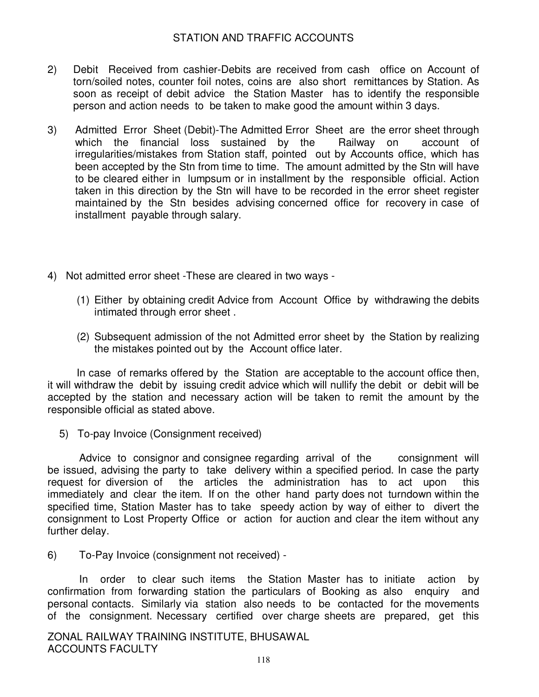- 2) Debit Received from cashier-Debits are received from cash office on Account of torn/soiled notes, counter foil notes, coins are also short remittances by Station. As soon as receipt of debit advice the Station Master has to identify the responsible person and action needs to be taken to make good the amount within 3 days.
- 3) Admitted Error Sheet (Debit)-The Admitted Error Sheet are the error sheet through which the financial loss sustained by the Railway on account of irregularities/mistakes from Station staff, pointed out by Accounts office, which has been accepted by the Stn from time to time. The amount admitted by the Stn will have to be cleared either in lumpsum or in installment by the responsible official. Action taken in this direction by the Stn will have to be recorded in the error sheet register maintained by the Stn besides advising concerned office for recovery in case of installment payable through salary.
- 4) Not admitted error sheet -These are cleared in two ways
	- (1) Either by obtaining credit Advice from Account Office by withdrawing the debits intimated through error sheet .
	- (2) Subsequent admission of the not Admitted error sheet by the Station by realizing the mistakes pointed out by the Account office later.

In case of remarks offered by the Station are acceptable to the account office then, it will withdraw the debit by issuing credit advice which will nullify the debit or debit will be accepted by the station and necessary action will be taken to remit the amount by the responsible official as stated above.

5) To-pay Invoice (Consignment received)

Advice to consignor and consignee regarding arrival of the consignment will be issued, advising the party to take delivery within a specified period. In case the party request for diversion of the articles the administration has to act upon this immediately and clear the item. If on the other hand party does not turndown within the specified time, Station Master has to take speedy action by way of either to divert the consignment to Lost Property Office or action for auction and clear the item without any further delay.

6) To-Pay Invoice (consignment not received) -

In order to clear such items the Station Master has to initiate action by confirmation from forwarding station the particulars of Booking as also enquiry and personal contacts. Similarly via station also needs to be contacted for the movements of the consignment. Necessary certified over charge sheets are prepared, get this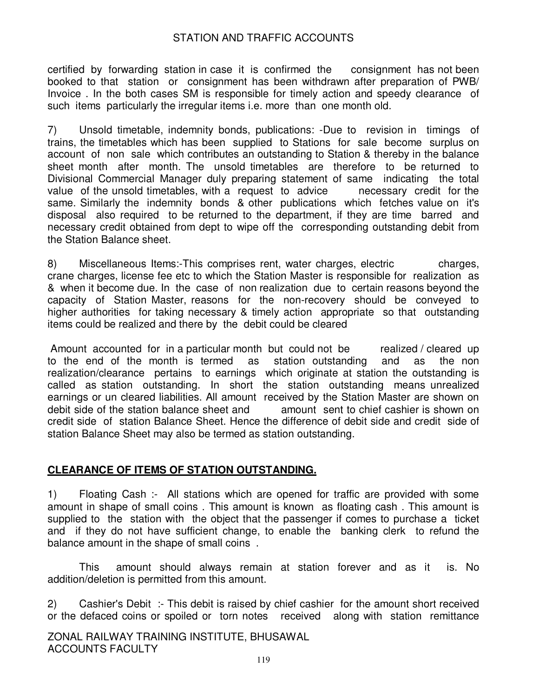certified by forwarding station in case it is confirmed the consignment has not been booked to that station or consignment has been withdrawn after preparation of PWB/ Invoice . In the both cases SM is responsible for timely action and speedy clearance of such items particularly the irregular items i.e. more than one month old.

7) Unsold timetable, indemnity bonds, publications: -Due to revision in timings of trains, the timetables which has been supplied to Stations for sale become surplus on account of non sale which contributes an outstanding to Station & thereby in the balance sheet month after month. The unsold timetables are therefore to be returned to Divisional Commercial Manager duly preparing statement of same indicating the total value of the unsold timetables, with a request to advice necessary credit for the same. Similarly the indemnity bonds & other publications which fetches value on it's disposal also required to be returned to the department, if they are time barred and necessary credit obtained from dept to wipe off the corresponding outstanding debit from the Station Balance sheet.

8) Miscellaneous Items:-This comprises rent, water charges, electric charges, crane charges, license fee etc to which the Station Master is responsible for realization as & when it become due. In the case of non realization due to certain reasons beyond the capacity of Station Master, reasons for the non-recovery should be conveyed to higher authorities for taking necessary & timely action appropriate so that outstanding items could be realized and there by the debit could be cleared

Amount accounted for in a particular month but could not be realized / cleared up to the end of the month is termed as station outstanding and as the non realization/clearance pertains to earnings which originate at station the outstanding is called as station outstanding. In short the station outstanding means unrealized earnings or un cleared liabilities. All amount received by the Station Master are shown on debit side of the station balance sheet and amount sent to chief cashier is shown on credit side of station Balance Sheet. Hence the difference of debit side and credit side of station Balance Sheet may also be termed as station outstanding.

### **CLEARANCE OF ITEMS OF STATION OUTSTANDING.**

1) Floating Cash :- All stations which are opened for traffic are provided with some amount in shape of small coins . This amount is known as floating cash . This amount is supplied to the station with the object that the passenger if comes to purchase a ticket and if they do not have sufficient change, to enable the banking clerk to refund the balance amount in the shape of small coins .

This amount should always remain at station forever and as it is. No addition/deletion is permitted from this amount.

2) Cashier's Debit :- This debit is raised by chief cashier for the amount short received or the defaced coins or spoiled or torn notes received along with station remittance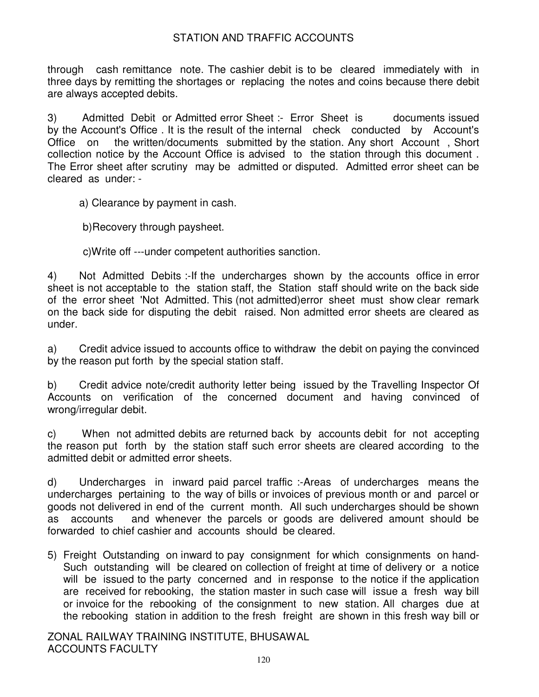through cash remittance note. The cashier debit is to be cleared immediately with in three days by remitting the shortages or replacing the notes and coins because there debit are always accepted debits.

3) Admitted Debit or Admitted error Sheet :- Error Sheet is documents issued by the Account's Office . It is the result of the internal check conducted by Account's Office on the written/documents submitted by the station. Any short Account , Short collection notice by the Account Office is advised to the station through this document . The Error sheet after scrutiny may be admitted or disputed. Admitted error sheet can be cleared as under: -

a) Clearance by payment in cash.

b)Recovery through paysheet.

c)Write off ---under competent authorities sanction.

4) Not Admitted Debits :-If the undercharges shown by the accounts office in error sheet is not acceptable to the station staff, the Station staff should write on the back side of the error sheet 'Not Admitted. This (not admitted)error sheet must show clear remark on the back side for disputing the debit raised. Non admitted error sheets are cleared as under.

a) Credit advice issued to accounts office to withdraw the debit on paying the convinced by the reason put forth by the special station staff.

b) Credit advice note/credit authority letter being issued by the Travelling Inspector Of Accounts on verification of the concerned document and having convinced of wrong/irregular debit.

c) When not admitted debits are returned back by accounts debit for not accepting the reason put forth by the station staff such error sheets are cleared according to the admitted debit or admitted error sheets.

d) Undercharges in inward paid parcel traffic :-Areas of undercharges means the undercharges pertaining to the way of bills or invoices of previous month or and parcel or goods not delivered in end of the current month. All such undercharges should be shown as accounts and whenever the parcels or goods are delivered amount should be forwarded to chief cashier and accounts should be cleared.

5) Freight Outstanding on inward to pay consignment for which consignments on hand-Such outstanding will be cleared on collection of freight at time of delivery or a notice will be issued to the party concerned and in response to the notice if the application are received for rebooking, the station master in such case will issue a fresh way bill or invoice for the rebooking of the consignment to new station. All charges due at the rebooking station in addition to the fresh freight are shown in this fresh way bill or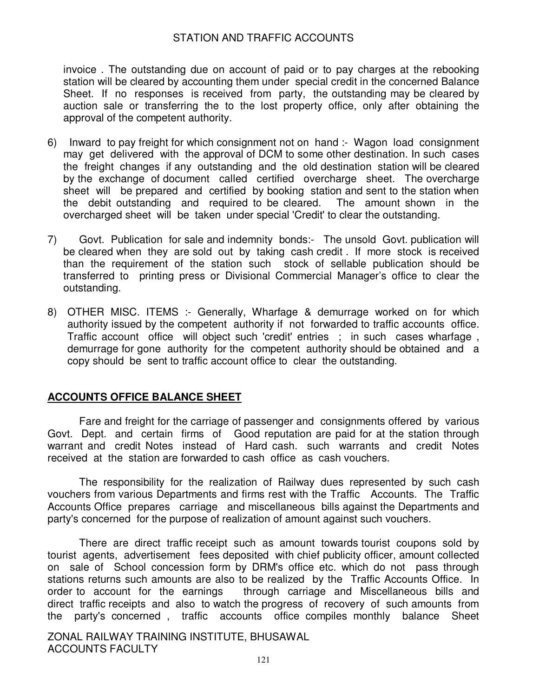invoice . The outstanding due on account of paid or to pay charges at the rebooking station will be cleared by accounting them under special credit in the concerned Balance Sheet. If no responses is received from party, the outstanding may be cleared by auction sale or transferring the to the lost property office, only after obtaining the approval of the competent authority.

- 6) Inward to pay freight for which consignment not on hand :- Wagon load consignment may get delivered with the approval of DCM to some other destination. In such cases the freight changes if any outstanding and the old destination station will be cleared by the exchange of document called certified overcharge sheet. The overcharge sheet will be prepared and certified by booking station and sent to the station when the debit outstanding and required to be cleared. The amount shown in the overcharged sheet will be taken under special 'Credit' to clear the outstanding.
- 7) Govt. Publication for sale and indemnity bonds:- The unsold Govt. publication will be cleared when they are sold out by taking cash credit . If more stock is received than the requirement of the station such stock of sellable publication should be transferred to printing press or Divisional Commercial Manager's office to clear the outstanding.
- 8) OTHER MISC. ITEMS :- Generally, Wharfage & demurrage worked on for which authority issued by the competent authority if not forwarded to traffic accounts office. Traffic account office will object such 'credit' entries ; in such cases wharfage , demurrage for gone authority for the competent authority should be obtained and a copy should be sent to traffic account office to clear the outstanding.

### **ACCOUNTS OFFICE BALANCE SHEET**

Fare and freight for the carriage of passenger and consignments offered by various Govt. Dept. and certain firms of Good reputation are paid for at the station through warrant and credit Notes instead of Hard cash. such warrants and credit Notes received at the station are forwarded to cash office as cash vouchers.

The responsibility for the realization of Railway dues represented by such cash vouchers from various Departments and firms rest with the Traffic Accounts. The Traffic Accounts Office prepares carriage and miscellaneous bills against the Departments and party's concerned for the purpose of realization of amount against such vouchers.

There are direct traffic receipt such as amount towards tourist coupons sold by tourist agents, advertisement fees deposited with chief publicity officer, amount collected on sale of School concession form by DRM's office etc. which do not pass through stations returns such amounts are also to be realized by the Traffic Accounts Office. In order to account for the earnings through carriage and Miscellaneous bills and direct traffic receipts and also to watch the progress of recovery of such amounts from the party's concerned , traffic accounts office compiles monthly balance Sheet